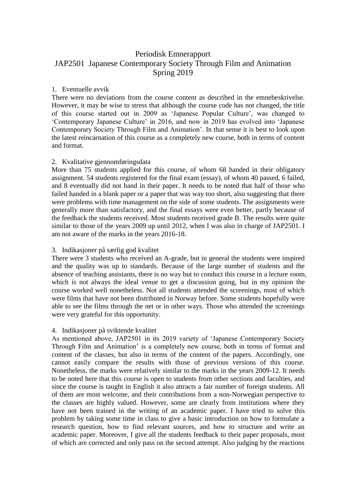# Periodisk Emnerapport JAP2501 Japanese Contemporary Society Through Film and Animation Spring 2019

### 1. Eventuelle avvik

There were no deviations from the course content as described in the emnebeskrivelse. However, it may be wise to stress that although the course code has not changed, the title of this course started out in 2009 as 'Japanese Popular Culture', was changed to 'Contemporary Japanese Culture' in 2016, and now in 2019 has evolved into 'Japanese Contemporary Society Through Film and Animation'. In that sense it is best to look upon the latest reincarnation of this course as a completely new course, both in terms of content and format.

#### 2. Kvalitative gjennomføringsdata

More than 75 students applied for this course, of whom 68 handed in their obligatory assignment. 54 students registered for the final exam (essay), of whom 40 passed, 6 failed, and 8 eventually did not hand in their paper. It needs to be noted that half of those who failed handed in a blank paper or a paper that was way too short, also suggesting that there were problems with time management on the side of some students. The assignments were generally more than satisfactory, and the final essays were even better, partly because of the feedback the students received. Most students received grade B. The results were quite similar to those of the years 2009 up until 2012, when I was also in charge of JAP2501. I am not aware of the marks in the years 2016-18.

# 3. Indikasjoner på særlig god kvalitet

There were 3 students who received an A-grade, but in general the students were inspired and the quality was up to standards. Because of the large number of students and the absence of teaching assistants, there is no way but to conduct this course in a lecture room, which is not always the ideal venue to get a discussion going, but in my opinion the course worked well nonetheless. Not all students attended the screenings, most of which were films that have not been distributed in Norway before. Some students hopefully were able to see the films through the net or in other ways. Those who attended the screenings were very grateful for this opportunity.

# 4. Indikasjoner på sviktende kvalitet

As mentioned above, JAP2501 in its 2019 variety of 'Japanese Contemporary Society Through Film and Animation' is a completely new course, both in terms of format and content of the classes, but also in terms of the content of the papers. Accordingly, one cannot easily compare the results with those of previous versions of this course. Nonetheless, the marks were relatively similar to the marks in the years 2009-12. It needs to be noted here that this course is open to students from other sections and faculties, and since the course is taught in English it also attracts a fair number of foreign students. All of them are most welcome, and their contributions from a non-Norwegian perspective to the classes are highly valued. However, some are clearly from institutions where they have not been trained in the writing of an academic paper. I have tried to solve this problem by taking some time in class to give a basic introduction on how to formulate a research question, how to find relevant sources, and how to structure and write an academic paper. Moreover, I give all the students feedback to their paper proposals, most of which are corrected and only pass on the second attempt. Also judging by the reactions